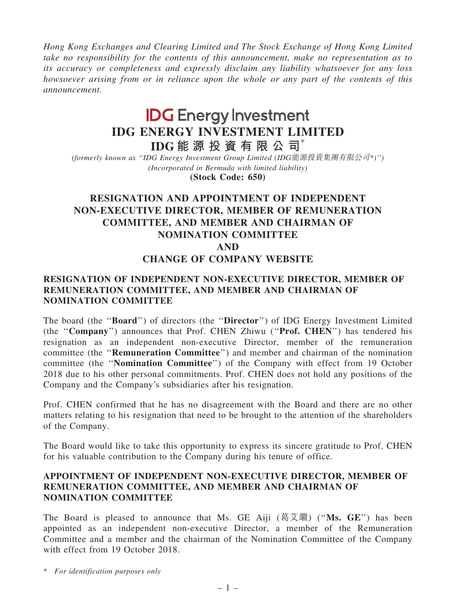Hong Kong Exchanges and Clearing Limited and The Stock Exchange of Hong Kong Limited take no responsibility for the contents of this announcement, make no representation as to its accuracy or completeness and expressly disclaim any liability whatsoever for any loss howsoever arising from or in reliance upon the whole or any part of the contents of this announcement.

# **IDG** Energy Investment IDG ENERGY INVESTMENT LIMITED

IDG 能 源 投 資 有 限 公 司 $*$ 

(formerly known as ''IDG Energy Investment Group Limited (IDG能源投資集團有限公司\*)'') (Incorporated in Bermuda with limited liability) (Stock Code: 650)

## RESIGNATION AND APPOINTMENT OF INDEPENDENT NON-EXECUTIVE DIRECTOR, MEMBER OF REMUNERATION COMMITTEE, AND MEMBER AND CHAIRMAN OF NOMINATION COMMITTEE AND

### CHANGE OF COMPANY WEBSITE

#### RESIGNATION OF INDEPENDENT NON-EXECUTIVE DIRECTOR, MEMBER OF REMUNERATION COMMITTEE, AND MEMBER AND CHAIRMAN OF NOMINATION COMMITTEE

The board (the ''Board'') of directors (the ''Director'') of IDG Energy Investment Limited (the ''Company'') announces that Prof. CHEN Zhiwu (''Prof. CHEN'') has tendered his resignation as an independent non-executive Director, member of the remuneration committee (the ''Remuneration Committee'') and member and chairman of the nomination committee (the ''Nomination Committee'') of the Company with effect from 19 October 2018 due to his other personal commitments. Prof. CHEN does not hold any positions of the Company and the Company's subsidiaries after his resignation.

Prof. CHEN confirmed that he has no disagreement with the Board and there are no other matters relating to his resignation that need to be brought to the attention of the shareholders of the Company.

The Board would like to take this opportunity to express its sincere gratitude to Prof. CHEN for his valuable contribution to the Company during his tenure of office.

#### APPOINTMENT OF INDEPENDENT NON-EXECUTIVE DIRECTOR, MEMBER OF REMUNERATION COMMITTEE, AND MEMBER AND CHAIRMAN OF NOMINATION COMMITTEE

The Board is pleased to announce that Ms. GE Aiji  $(\bar{g}\bar{g})$  ("Ms. GE") has been appointed as an independent non-executive Director, a member of the Remuneration Committee and a member and the chairman of the Nomination Committee of the Company with effect from 19 October 2018.

\* For identification purposes only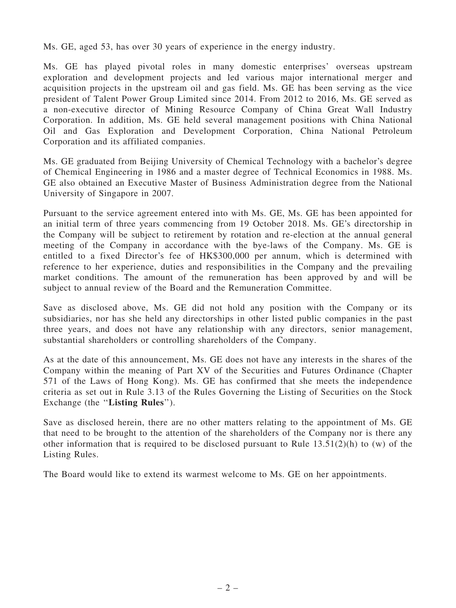Ms. GE, aged 53, has over 30 years of experience in the energy industry.

Ms. GE has played pivotal roles in many domestic enterprises' overseas upstream exploration and development projects and led various major international merger and acquisition projects in the upstream oil and gas field. Ms. GE has been serving as the vice president of Talent Power Group Limited since 2014. From 2012 to 2016, Ms. GE served as a non-executive director of Mining Resource Company of China Great Wall Industry Corporation. In addition, Ms. GE held several management positions with China National Oil and Gas Exploration and Development Corporation, China National Petroleum Corporation and its affiliated companies.

Ms. GE graduated from Beijing University of Chemical Technology with a bachelor's degree of Chemical Engineering in 1986 and a master degree of Technical Economics in 1988. Ms. GE also obtained an Executive Master of Business Administration degree from the National University of Singapore in 2007.

Pursuant to the service agreement entered into with Ms. GE, Ms. GE has been appointed for an initial term of three years commencing from 19 October 2018. Ms. GE's directorship in the Company will be subject to retirement by rotation and re-election at the annual general meeting of the Company in accordance with the bye-laws of the Company. Ms. GE is entitled to a fixed Director's fee of HK\$300,000 per annum, which is determined with reference to her experience, duties and responsibilities in the Company and the prevailing market conditions. The amount of the remuneration has been approved by and will be subject to annual review of the Board and the Remuneration Committee.

Save as disclosed above, Ms. GE did not hold any position with the Company or its subsidiaries, nor has she held any directorships in other listed public companies in the past three years, and does not have any relationship with any directors, senior management, substantial shareholders or controlling shareholders of the Company.

As at the date of this announcement, Ms. GE does not have any interests in the shares of the Company within the meaning of Part XV of the Securities and Futures Ordinance (Chapter 571 of the Laws of Hong Kong). Ms. GE has confirmed that she meets the independence criteria as set out in Rule 3.13 of the Rules Governing the Listing of Securities on the Stock Exchange (the "Listing Rules").

Save as disclosed herein, there are no other matters relating to the appointment of Ms. GE that need to be brought to the attention of the shareholders of the Company nor is there any other information that is required to be disclosed pursuant to Rule  $13.51(2)(h)$  to (w) of the Listing Rules.

The Board would like to extend its warmest welcome to Ms. GE on her appointments.